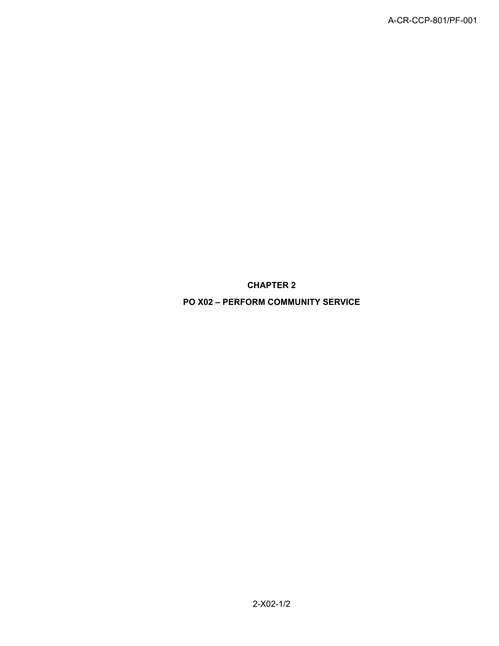**CHAPTER 2**

**PO X02 – PERFORM COMMUNITY SERVICE**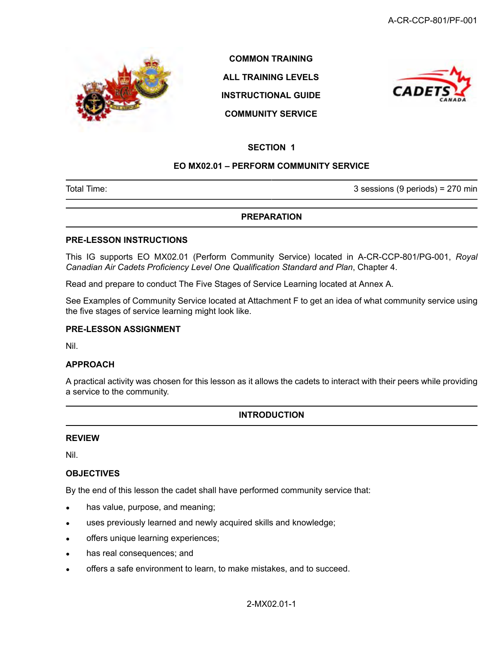

**COMMON TRAINING ALL TRAINING LEVELS INSTRUCTIONAL GUIDE**





#### **SECTION 1**

#### **EO MX02.01 – PERFORM COMMUNITY SERVICE**

Total Time: 3 sessions (9 periods) = 270 min

#### **PREPARATION**

#### **PRE-LESSON INSTRUCTIONS**

This IG supports EO MX02.01 (Perform Community Service) located in A-CR-CCP-801/PG-001, *Royal Canadian Air Cadets Proficiency Level One Qualification Standard and Plan*, Chapter 4.

Read and prepare to conduct The Five Stages of Service Learning located at Annex A.

See Examples of Community Service located at Attachment F to get an idea of what community service using the five stages of service learning might look like.

#### **PRE-LESSON ASSIGNMENT**

Nil.

#### **APPROACH**

A practical activity was chosen for this lesson as it allows the cadets to interact with their peers while providing a service to the community.

#### **INTRODUCTION**

#### **REVIEW**

Nil.

#### **OBJECTIVES**

By the end of this lesson the cadet shall have performed community service that:

- has value, purpose, and meaning;
- uses previously learned and newly acquired skills and knowledge;
- offers unique learning experiences;
- has real consequences; and
- offers a safe environment to learn, to make mistakes, and to succeed.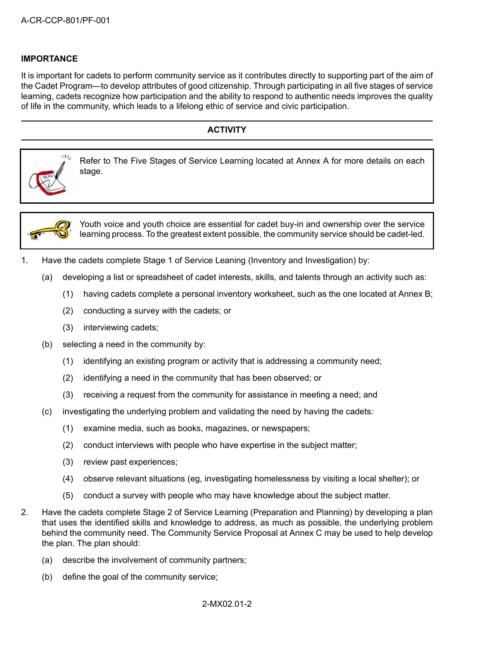#### **IMPORTANCE**

It is important for cadets to perform community service as it contributes directly to supporting part of the aim of the Cadet Program—to develop attributes of good citizenship. Through participating in all five stages of service learning, cadets recognize how participation and the ability to respond to authentic needs improves the quality of life in the community, which leads to a lifelong ethic of service and civic participation.

# **ACTIVITY** Refer to The Five Stages of Service Learning located at Annex A for more details on each stage.



Youth voice and youth choice are essential for cadet buy-in and ownership over the service learning process. To the greatest extent possible, the community service should be cadet-led.

- 1. Have the cadets complete Stage 1 of Service Leaning (Inventory and Investigation) by:
	- (a) developing a list or spreadsheet of cadet interests, skills, and talents through an activity such as:
		- (1) having cadets complete a personal inventory worksheet, such as the one located at Annex B;
		- (2) conducting a survey with the cadets; or
		- (3) interviewing cadets;
	- (b) selecting a need in the community by:
		- (1) identifying an existing program or activity that is addressing a community need;
		- (2) identifying a need in the community that has been observed; or
		- (3) receiving a request from the community for assistance in meeting a need; and
	- (c) investigating the underlying problem and validating the need by having the cadets:
		- (1) examine media, such as books, magazines, or newspapers;
		- (2) conduct interviews with people who have expertise in the subject matter;
		- (3) review past experiences;
		- (4) observe relevant situations (eg, investigating homelessness by visiting a local shelter); or
		- (5) conduct a survey with people who may have knowledge about the subject matter.
- 2. Have the cadets complete Stage 2 of Service Learning (Preparation and Planning) by developing a plan that uses the identified skills and knowledge to address, as much as possible, the underlying problem behind the community need. The Community Service Proposal at Annex C may be used to help develop the plan. The plan should:
	- (a) describe the involvement of community partners;
	- (b) define the goal of the community service;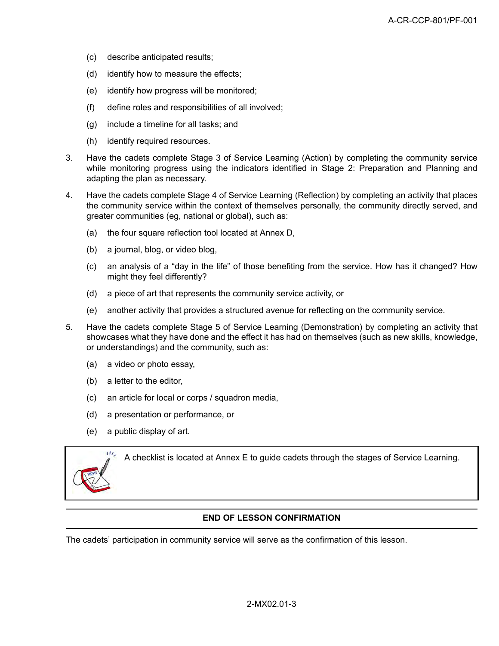- (c) describe anticipated results;
- (d) identify how to measure the effects;
- (e) identify how progress will be monitored;
- (f) define roles and responsibilities of all involved;
- (g) include a timeline for all tasks; and
- (h) identify required resources.
- 3. Have the cadets complete Stage 3 of Service Learning (Action) by completing the community service while monitoring progress using the indicators identified in Stage 2: Preparation and Planning and adapting the plan as necessary.
- 4. Have the cadets complete Stage 4 of Service Learning (Reflection) by completing an activity that places the community service within the context of themselves personally, the community directly served, and greater communities (eg, national or global), such as:
	- (a) the four square reflection tool located at Annex D,
	- (b) a journal, blog, or video blog,
	- (c) an analysis of a "day in the life" of those benefiting from the service. How has it changed? How might they feel differently?
	- (d) a piece of art that represents the community service activity, or
	- (e) another activity that provides a structured avenue for reflecting on the community service.
- 5. Have the cadets complete Stage 5 of Service Learning (Demonstration) by completing an activity that showcases what they have done and the effect it has had on themselves (such as new skills, knowledge, or understandings) and the community, such as:
	- (a) a video or photo essay,
	- (b) a letter to the editor,
	- (c) an article for local or corps / squadron media,
	- (d) a presentation or performance, or
	- (e) a public display of art.



A checklist is located at Annex E to guide cadets through the stages of Service Learning.

#### **END OF LESSON CONFIRMATION**

The cadets' participation in community service will serve as the confirmation of this lesson.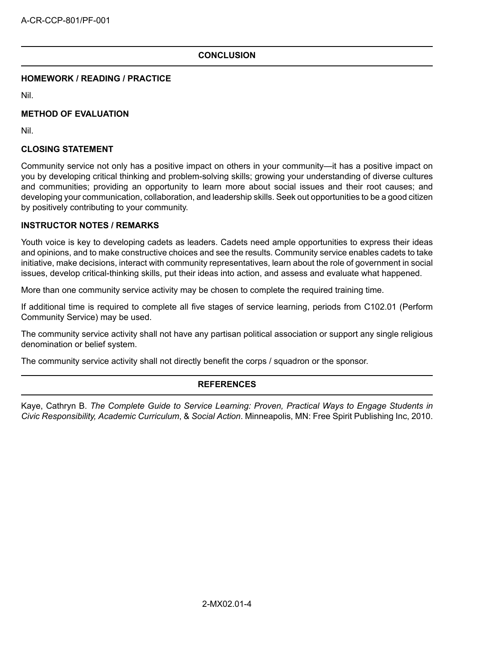#### **CONCLUSION**

#### **HOMEWORK / READING / PRACTICE**

Nil.

#### **METHOD OF EVALUATION**

Nil.

#### **CLOSING STATEMENT**

Community service not only has a positive impact on others in your community—it has a positive impact on you by developing critical thinking and problem-solving skills; growing your understanding of diverse cultures and communities; providing an opportunity to learn more about social issues and their root causes; and developing your communication, collaboration, and leadership skills. Seek out opportunities to be a good citizen by positively contributing to your community.

#### **INSTRUCTOR NOTES / REMARKS**

Youth voice is key to developing cadets as leaders. Cadets need ample opportunities to express their ideas and opinions, and to make constructive choices and see the results. Community service enables cadets to take initiative, make decisions, interact with community representatives, learn about the role of government in social issues, develop critical-thinking skills, put their ideas into action, and assess and evaluate what happened.

More than one community service activity may be chosen to complete the required training time.

If additional time is required to complete all five stages of service learning, periods from C102.01 (Perform Community Service) may be used.

The community service activity shall not have any partisan political association or support any single religious denomination or belief system.

The community service activity shall not directly benefit the corps / squadron or the sponsor.

#### **REFERENCES**

Kaye, Cathryn B. *The Complete Guide to Service Learning: Proven, Practical Ways to Engage Students in Civic Responsibility, Academic Curriculum*, & *Social Action*. Minneapolis, MN: Free Spirit Publishing Inc, 2010.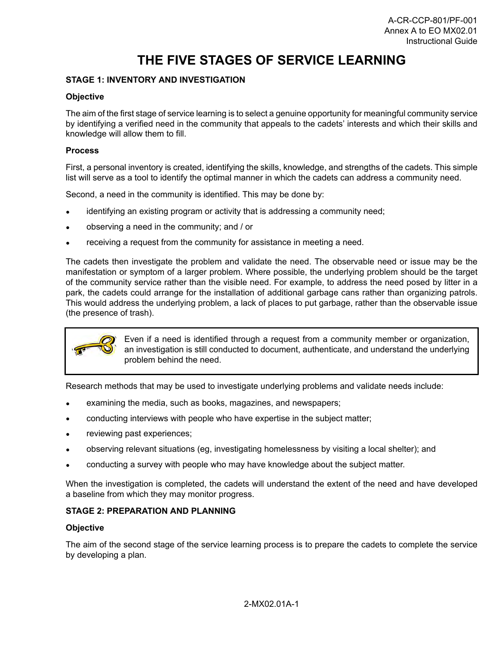# **THE FIVE STAGES OF SERVICE LEARNING**

#### **STAGE 1: INVENTORY AND INVESTIGATION**

#### **Objective**

The aim of the first stage of service learning is to select a genuine opportunity for meaningful community service by identifying a verified need in the community that appeals to the cadets' interests and which their skills and knowledge will allow them to fill.

#### **Process**

First, a personal inventory is created, identifying the skills, knowledge, and strengths of the cadets. This simple list will serve as a tool to identify the optimal manner in which the cadets can address a community need.

Second, a need in the community is identified. This may be done by:

- identifying an existing program or activity that is addressing a community need;
- observing a need in the community; and / or
- receiving a request from the community for assistance in meeting a need.

The cadets then investigate the problem and validate the need. The observable need or issue may be the manifestation or symptom of a larger problem. Where possible, the underlying problem should be the target of the community service rather than the visible need. For example, to address the need posed by litter in a park, the cadets could arrange for the installation of additional garbage cans rather than organizing patrols. This would address the underlying problem, a lack of places to put garbage, rather than the observable issue (the presence of trash).



Even if a need is identified through a request from a community member or organization, an investigation is still conducted to document, authenticate, and understand the underlying problem behind the need.

Research methods that may be used to investigate underlying problems and validate needs include:

- examining the media, such as books, magazines, and newspapers;
- conducting interviews with people who have expertise in the subject matter;
- reviewing past experiences;
- observing relevant situations (eg, investigating homelessness by visiting a local shelter); and
- conducting a survey with people who may have knowledge about the subject matter.

When the investigation is completed, the cadets will understand the extent of the need and have developed a baseline from which they may monitor progress.

#### **STAGE 2: PREPARATION AND PLANNING**

#### **Objective**

The aim of the second stage of the service learning process is to prepare the cadets to complete the service by developing a plan.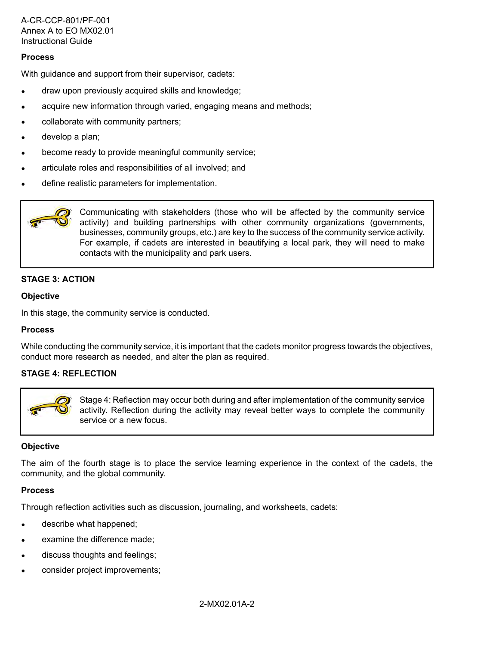#### **Process**

With guidance and support from their supervisor, cadets:

- draw upon previously acquired skills and knowledge;
- acquire new information through varied, engaging means and methods;
- collaborate with community partners;
- develop a plan;
- become ready to provide meaningful community service;
- articulate roles and responsibilities of all involved; and
- define realistic parameters for implementation.



Communicating with stakeholders (those who will be affected by the community service activity) and building partnerships with other community organizations (governments, businesses, community groups, etc.) are key to the success of the community service activity. For example, if cadets are interested in beautifying a local park, they will need to make contacts with the municipality and park users.

#### **STAGE 3: ACTION**

#### **Objective**

In this stage, the community service is conducted.

#### **Process**

While conducting the community service, it is important that the cadets monitor progress towards the objectives, conduct more research as needed, and alter the plan as required.

#### **STAGE 4: REFLECTION**



Stage 4: Reflection may occur both during and after implementation of the community service activity. Reflection during the activity may reveal better ways to complete the community service or a new focus.

#### **Objective**

The aim of the fourth stage is to place the service learning experience in the context of the cadets, the community, and the global community.

#### **Process**

Through reflection activities such as discussion, journaling, and worksheets, cadets:

- describe what happened;
- examine the difference made;
- discuss thoughts and feelings;
- consider project improvements;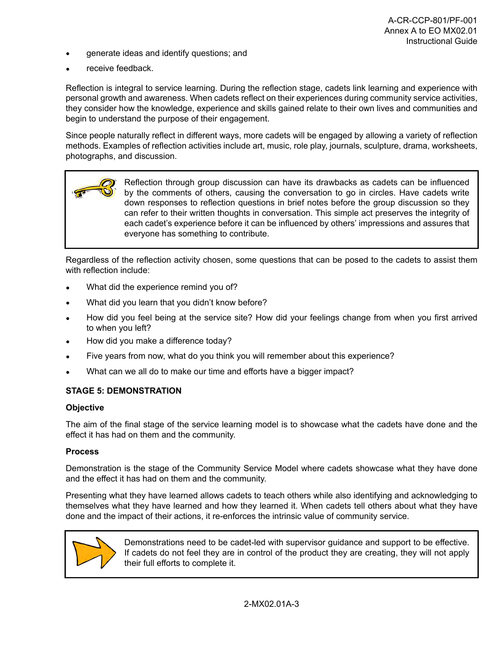- generate ideas and identify questions; and
- receive feedback.

Reflection is integral to service learning. During the reflection stage, cadets link learning and experience with personal growth and awareness. When cadets reflect on their experiences during community service activities, they consider how the knowledge, experience and skills gained relate to their own lives and communities and begin to understand the purpose of their engagement.

Since people naturally reflect in different ways, more cadets will be engaged by allowing a variety of reflection methods. Examples of reflection activities include art, music, role play, journals, sculpture, drama, worksheets, photographs, and discussion.



Regardless of the reflection activity chosen, some questions that can be posed to the cadets to assist them with reflection include:

- What did the experience remind you of?
- What did you learn that you didn't know before?
- How did you feel being at the service site? How did your feelings change from when you first arrived to when you left?
- How did you make a difference today?
- Five years from now, what do you think you will remember about this experience?
- What can we all do to make our time and efforts have a bigger impact?

#### **STAGE 5: DEMONSTRATION**

#### **Objective**

The aim of the final stage of the service learning model is to showcase what the cadets have done and the effect it has had on them and the community.

#### **Process**

Demonstration is the stage of the Community Service Model where cadets showcase what they have done and the effect it has had on them and the community.

Presenting what they have learned allows cadets to teach others while also identifying and acknowledging to themselves what they have learned and how they learned it. When cadets tell others about what they have done and the impact of their actions, it re-enforces the intrinsic value of community service.



Demonstrations need to be cadet-led with supervisor guidance and support to be effective. If cadets do not feel they are in control of the product they are creating, they will not apply their full efforts to complete it.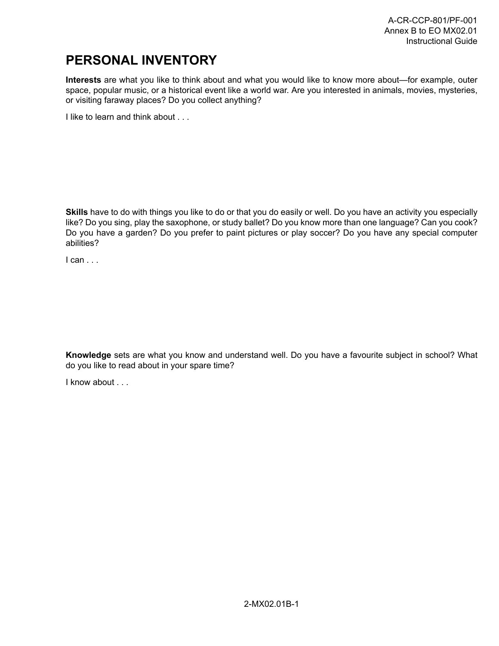# **PERSONAL INVENTORY**

**Interests** are what you like to think about and what you would like to know more about—for example, outer space, popular music, or a historical event like a world war. Are you interested in animals, movies, mysteries, or visiting faraway places? Do you collect anything?

I like to learn and think about . . .

**Skills** have to do with things you like to do or that you do easily or well. Do you have an activity you especially like? Do you sing, play the saxophone, or study ballet? Do you know more than one language? Can you cook? Do you have a garden? Do you prefer to paint pictures or play soccer? Do you have any special computer abilities?

I can . . .

**Knowledge** sets are what you know and understand well. Do you have a favourite subject in school? What do you like to read about in your spare time?

I know about . . .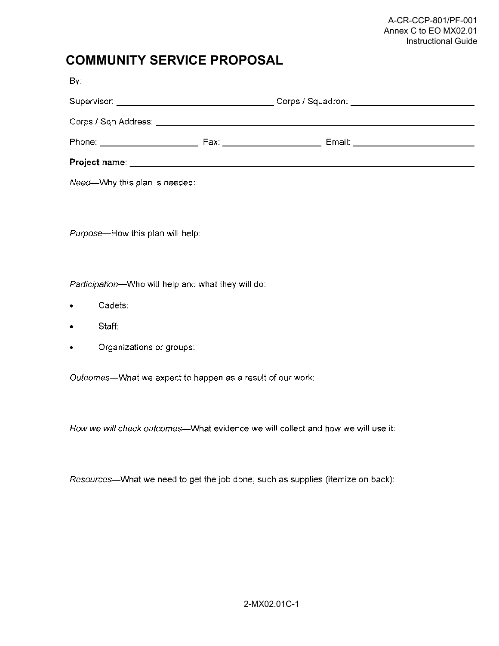### **COMMUNITY SERVICE PROPOSAL**

| Phone: _______________________                  | Fax: New York Street, New York Street, New York Street, New York Street, New York Street, New York Street, New<br>Email: ___________________________ |  |
|-------------------------------------------------|------------------------------------------------------------------------------------------------------------------------------------------------------|--|
| Project name: _________________________________ |                                                                                                                                                      |  |

Need-Why this plan is needed:

Purpose-How this plan will help:

Participation-Who will help and what they will do:

- Cadets:  $\bullet$
- Staff:  $\bullet$
- Organizations or groups:

Outcomes-What we expect to happen as a result of our work:

How we will check outcomes—What evidence we will collect and how we will use it:

Resources-What we need to get the job done, such as supplies (itemize on back):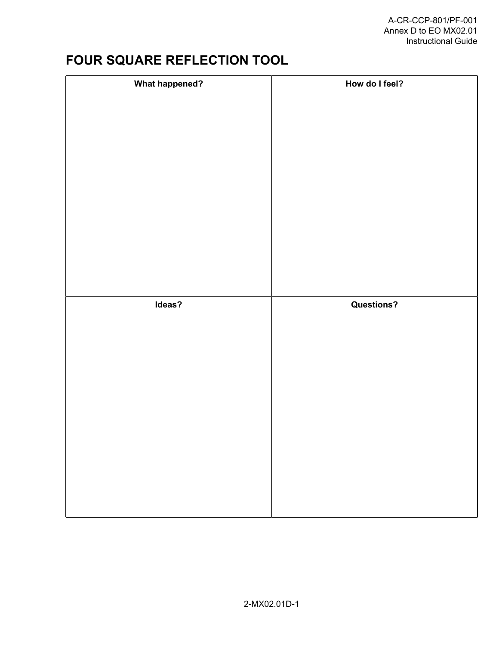# **FOUR SQUARE REFLECTION TOOL**

| <b>What happened?</b> | How do I feel?    |
|-----------------------|-------------------|
|                       |                   |
|                       |                   |
|                       |                   |
|                       |                   |
|                       |                   |
|                       |                   |
|                       |                   |
|                       |                   |
|                       |                   |
|                       |                   |
|                       |                   |
|                       |                   |
|                       |                   |
|                       |                   |
|                       |                   |
|                       |                   |
|                       |                   |
|                       |                   |
| Ideas?                | <b>Questions?</b> |
|                       |                   |
|                       |                   |
|                       |                   |
|                       |                   |
|                       |                   |
|                       |                   |
|                       |                   |
|                       |                   |
|                       |                   |
|                       |                   |
|                       |                   |
|                       |                   |
|                       |                   |
|                       |                   |
|                       |                   |
|                       |                   |
|                       |                   |
|                       |                   |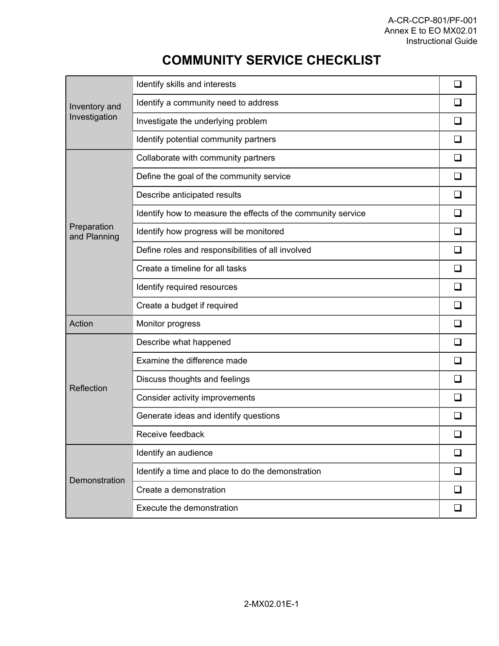# **COMMUNITY SERVICE CHECKLIST**

| Inventory and<br>Investigation | Identify skills and interests                                | П                        |
|--------------------------------|--------------------------------------------------------------|--------------------------|
|                                | Identify a community need to address                         |                          |
|                                | Investigate the underlying problem                           |                          |
|                                | Identify potential community partners                        |                          |
| Preparation<br>and Planning    | Collaborate with community partners                          |                          |
|                                | Define the goal of the community service                     |                          |
|                                | Describe anticipated results                                 | $\Box$                   |
|                                | Identify how to measure the effects of the community service |                          |
|                                | Identify how progress will be monitored                      |                          |
|                                | Define roles and responsibilities of all involved            |                          |
|                                | Create a timeline for all tasks                              | $\Box$                   |
|                                | Identify required resources                                  |                          |
|                                | Create a budget if required                                  |                          |
| Action                         | Monitor progress                                             | $\Box$                   |
| Reflection                     | Describe what happened                                       | $\Box$                   |
|                                | Examine the difference made                                  | $\overline{\phantom{a}}$ |
|                                | Discuss thoughts and feelings                                |                          |
|                                | Consider activity improvements                               |                          |
|                                | Generate ideas and identify questions                        |                          |
|                                | Receive feedback                                             |                          |
| Demonstration                  | Identify an audience                                         |                          |
|                                | Identify a time and place to do the demonstration            |                          |
|                                | Create a demonstration                                       |                          |
|                                | Execute the demonstration                                    | ⊔                        |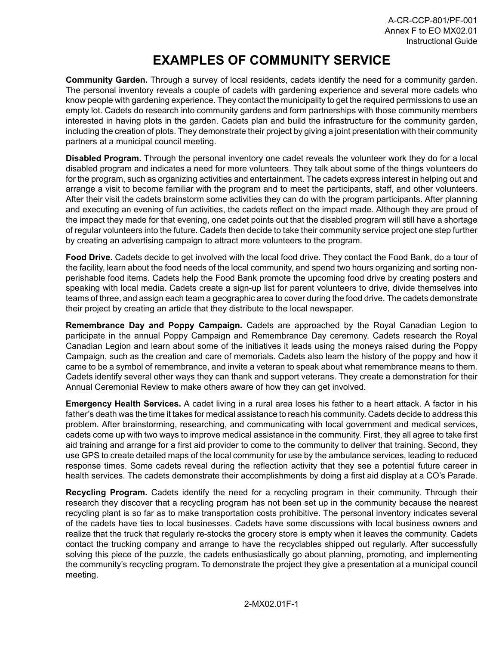# **EXAMPLES OF COMMUNITY SERVICE**

**Community Garden.** Through a survey of local residents, cadets identify the need for a community garden. The personal inventory reveals a couple of cadets with gardening experience and several more cadets who know people with gardening experience. They contact the municipality to get the required permissions to use an empty lot. Cadets do research into community gardens and form partnerships with those community members interested in having plots in the garden. Cadets plan and build the infrastructure for the community garden, including the creation of plots. They demonstrate their project by giving a joint presentation with their community partners at a municipal council meeting.

**Disabled Program.** Through the personal inventory one cadet reveals the volunteer work they do for a local disabled program and indicates a need for more volunteers. They talk about some of the things volunteers do for the program, such as organizing activities and entertainment. The cadets express interest in helping out and arrange a visit to become familiar with the program and to meet the participants, staff, and other volunteers. After their visit the cadets brainstorm some activities they can do with the program participants. After planning and executing an evening of fun activities, the cadets reflect on the impact made. Although they are proud of the impact they made for that evening, one cadet points out that the disabled program will still have a shortage of regular volunteers into the future. Cadets then decide to take their community service project one step further by creating an advertising campaign to attract more volunteers to the program.

**Food Drive.** Cadets decide to get involved with the local food drive. They contact the Food Bank, do a tour of the facility, learn about the food needs of the local community, and spend two hours organizing and sorting nonperishable food items. Cadets help the Food Bank promote the upcoming food drive by creating posters and speaking with local media. Cadets create a sign-up list for parent volunteers to drive, divide themselves into teams of three, and assign each team a geographic area to cover during the food drive. The cadets demonstrate their project by creating an article that they distribute to the local newspaper.

**Remembrance Day and Poppy Campaign.** Cadets are approached by the Royal Canadian Legion to participate in the annual Poppy Campaign and Remembrance Day ceremony. Cadets research the Royal Canadian Legion and learn about some of the initiatives it leads using the moneys raised during the Poppy Campaign, such as the creation and care of memorials. Cadets also learn the history of the poppy and how it came to be a symbol of remembrance, and invite a veteran to speak about what remembrance means to them. Cadets identify several other ways they can thank and support veterans. They create a demonstration for their Annual Ceremonial Review to make others aware of how they can get involved.

**Emergency Health Services.** A cadet living in a rural area loses his father to a heart attack. A factor in his father's death was the time it takes for medical assistance to reach his community. Cadets decide to address this problem. After brainstorming, researching, and communicating with local government and medical services, cadets come up with two ways to improve medical assistance in the community. First, they all agree to take first aid training and arrange for a first aid provider to come to the community to deliver that training. Second, they use GPS to create detailed maps of the local community for use by the ambulance services, leading to reduced response times. Some cadets reveal during the reflection activity that they see a potential future career in health services. The cadets demonstrate their accomplishments by doing a first aid display at a CO's Parade.

**Recycling Program.** Cadets identify the need for a recycling program in their community. Through their research they discover that a recycling program has not been set up in the community because the nearest recycling plant is so far as to make transportation costs prohibitive. The personal inventory indicates several of the cadets have ties to local businesses. Cadets have some discussions with local business owners and realize that the truck that regularly re-stocks the grocery store is empty when it leaves the community. Cadets contact the trucking company and arrange to have the recyclables shipped out regularly. After successfully solving this piece of the puzzle, the cadets enthusiastically go about planning, promoting, and implementing the community's recycling program. To demonstrate the project they give a presentation at a municipal council meeting.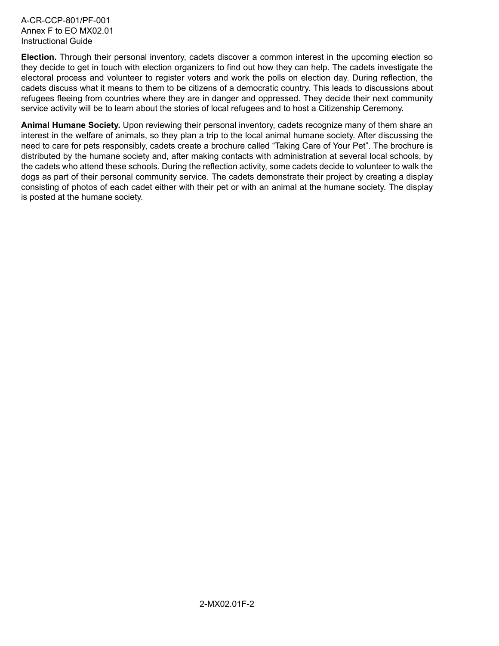A-CR-CCP-801/PF-001 Annex F to EO MX02.01 Instructional Guide

**Election.** Through their personal inventory, cadets discover a common interest in the upcoming election so they decide to get in touch with election organizers to find out how they can help. The cadets investigate the electoral process and volunteer to register voters and work the polls on election day. During reflection, the cadets discuss what it means to them to be citizens of a democratic country. This leads to discussions about refugees fleeing from countries where they are in danger and oppressed. They decide their next community service activity will be to learn about the stories of local refugees and to host a Citizenship Ceremony.

**Animal Humane Society.** Upon reviewing their personal inventory, cadets recognize many of them share an interest in the welfare of animals, so they plan a trip to the local animal humane society. After discussing the need to care for pets responsibly, cadets create a brochure called "Taking Care of Your Pet". The brochure is distributed by the humane society and, after making contacts with administration at several local schools, by the cadets who attend these schools. During the reflection activity, some cadets decide to volunteer to walk the dogs as part of their personal community service. The cadets demonstrate their project by creating a display consisting of photos of each cadet either with their pet or with an animal at the humane society. The display is posted at the humane society.